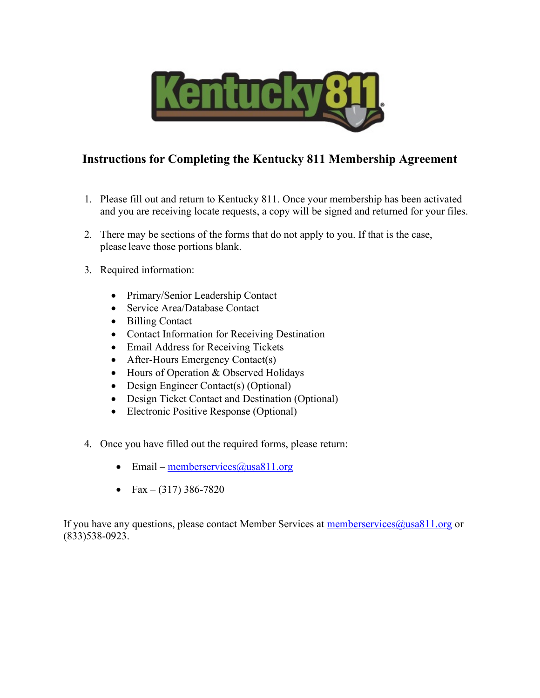

# **Instructions for Completing the Kentucky 811 Membership Agreement**

- 1. Please fill out and return to Kentucky 811. Once your membership has been activated and you are receiving locate requests, a copy will be signed and returned for your files.
- 2. There may be sections of the forms that do not apply to you. If that is the case, please leave those portions blank.
- 3. Required information:
	- Primary/Senior Leadership Contact
	- Service Area/Database Contact
	- Billing Contact
	- Contact Information for Receiving Destination
	- Email Address for Receiving Tickets
	- After-Hours Emergency Contact(s)
	- Hours of Operation & Observed Holidays
	- Design Engineer Contact(s) (Optional)
	- Design Ticket Contact and Destination (Optional)
	- Electronic Positive Response (Optional)
- 4. Once you have filled out the required forms, please return:
	- Email memberservices  $@$ usa $811$ .org
	- Fax (317) 386-7820

If you have any questions, please contact Member Services at memberservices@usa811.org or (833)538-0923.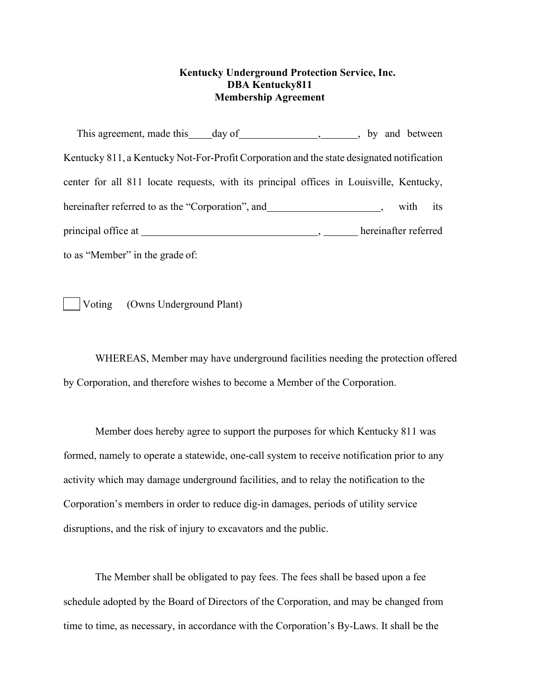# **Kentucky Underground Protection Service, Inc. DBA Kentucky811 Membership Agreement**

This agreement, made this day of , by and between Kentucky 811, a Kentucky Not-For-Profit Corporation and the state designated notification center for all 811 locate requests, with its principal offices in Louisville, Kentucky, hereinafter referred to as the "Corporation", and \_\_\_\_\_\_\_\_\_\_\_\_\_\_\_\_\_\_\_\_, with its principal office at , hereinafter referred to as "Member" in the grade of:

Voting (Owns Underground Plant)

WHEREAS, Member may have underground facilities needing the protection offered by Corporation, and therefore wishes to become a Member of the Corporation.

Member does hereby agree to support the purposes for which Kentucky 811 was formed, namely to operate a statewide, one-call system to receive notification prior to any activity which may damage underground facilities, and to relay the notification to the Corporation's members in order to reduce dig-in damages, periods of utility service disruptions, and the risk of injury to excavators and the public.

The Member shall be obligated to pay fees. The fees shall be based upon a fee schedule adopted by the Board of Directors of the Corporation, and may be changed from time to time, as necessary, in accordance with the Corporation's By-Laws. It shall be the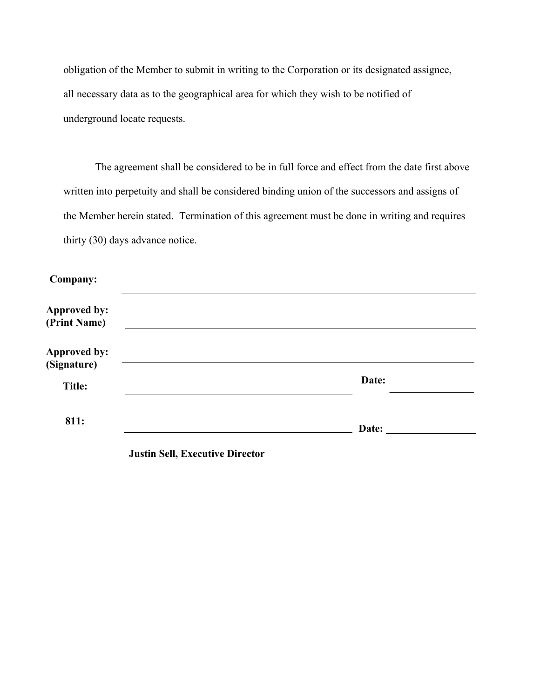obligation of the Member to submit in writing to the Corporation or its designated assignee, all necessary data as to the geographical area for which they wish to be notified of underground locate requests.

The agreement shall be considered to be in full force and effect from the date first above written into perpetuity and shall be considered binding union of the successors and assigns of the Member herein stated. Termination of this agreement must be done in writing and requires thirty (30) days advance notice.

| Company:                            |                                        |       |
|-------------------------------------|----------------------------------------|-------|
| <b>Approved by:</b><br>(Print Name) |                                        |       |
| <b>Approved by:</b><br>(Signature)  |                                        |       |
| <b>Title:</b>                       |                                        | Date: |
| 811:                                |                                        | Date: |
|                                     | <b>Justin Sell, Executive Director</b> |       |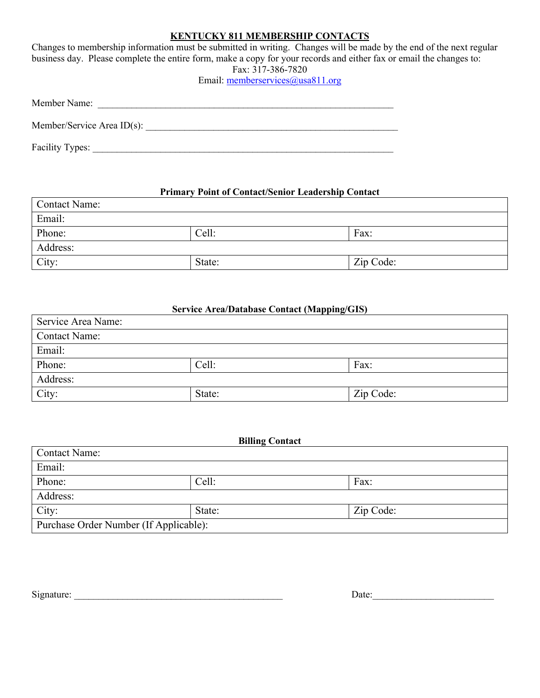# **KENTUCKY 811 MEMBERSHIP CONTACTS**

Changes to membership information must be submitted in writing. Changes will be made by the end of the next regular business day. Please complete the entire form, make a copy for your records and either fax or email the changes to: Fax: 317-386-7820

Email: memberservices@usa811.org

| Member Name:                  |  |
|-------------------------------|--|
| Member/Service Area $ID(s)$ : |  |
| Facility Types:               |  |

# **Primary Point of Contact/Senior Leadership Contact**

| Contact Name: |        |           |  |
|---------------|--------|-----------|--|
| Email:        |        |           |  |
| Phone:        | Cell:  | Fax:      |  |
| Address:      |        |           |  |
| City:         | State: | Zip Code: |  |

## **Service Area/Database Contact (Mapping/GIS)**

| Service Area Name:   |        |           |  |
|----------------------|--------|-----------|--|
| <b>Contact Name:</b> |        |           |  |
| Email:               |        |           |  |
| Phone:               | Cell:  | Fax:      |  |
| Address:             |        |           |  |
| City:                | State: | Zip Code: |  |

| <b>Billing Contact</b>                 |        |           |
|----------------------------------------|--------|-----------|
| <b>Contact Name:</b>                   |        |           |
| Email:                                 |        |           |
| Phone:                                 | Cell:  | Fax:      |
| Address:                               |        |           |
| City:                                  | State: | Zip Code: |
| Purchase Order Number (If Applicable): |        |           |

Signature: \_\_\_\_\_\_\_\_\_\_\_\_\_\_\_\_\_\_\_\_\_\_\_\_\_\_\_\_\_\_\_\_\_\_\_\_\_\_\_\_\_\_\_ Date:\_\_\_\_\_\_\_\_\_\_\_\_\_\_\_\_\_\_\_\_\_\_\_\_\_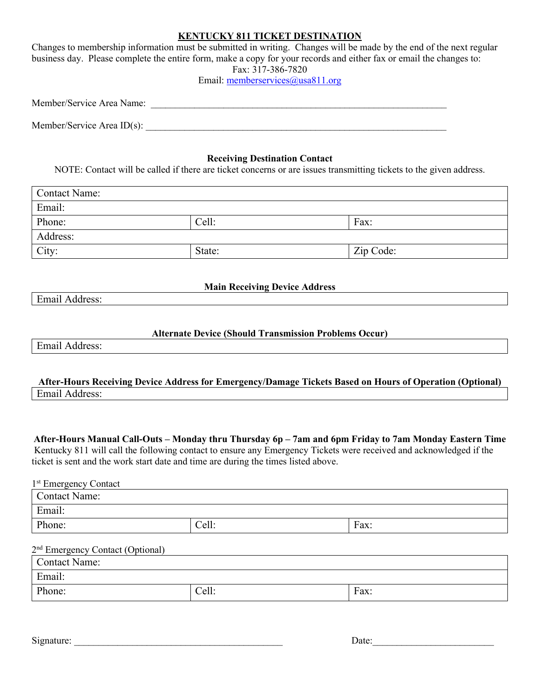## **KENTUCKY 811 TICKET DESTINATION**

Changes to membership information must be submitted in writing. Changes will be made by the end of the next regular business day. Please complete the entire form, make a copy for your records and either fax or email the changes to: Fax: 317-386-7820

Email: memberservices@usa811.org

| Member/Service Area Name:  |  |  |
|----------------------------|--|--|
|                            |  |  |
| Member/Service Area ID(s): |  |  |

#### **Receiving Destination Contact**

NOTE: Contact will be called if there are ticket concerns or are issues transmitting tickets to the given address.

| Contact Name: |        |           |
|---------------|--------|-----------|
| Email:        |        |           |
| Phone:        | Cell:  | Fax:      |
| Address:      |        |           |
| City:         | State: | Zip Code: |

## **Main Receiving Device Address**

Email Address:

#### **Alternate Device (Should Transmission Problems Occur)**

Email Address:

| After-Hours Receiving Device Address for Emergency/Damage Tickets Based on Hours of Operation (Optional) |  |
|----------------------------------------------------------------------------------------------------------|--|
| Email Address:                                                                                           |  |

**After-Hours Manual Call-Outs – Monday thru Thursday 6p – 7am and 6pm Friday to 7am Monday Eastern Time** Kentucky 811 will call the following contact to ensure any Emergency Tickets were received and acknowledged if the ticket is sent and the work start date and time are during the times listed above.

| 1 <sup>st</sup> Emergency Contact |       |      |  |
|-----------------------------------|-------|------|--|
| Contact Name:                     |       |      |  |
| Email:                            |       |      |  |
| Phone:                            | Cell: | Fax: |  |

#### 2<sup>nd</sup> Emergency Contact (Optional)

| <b>Contact Name:</b> |       |      |
|----------------------|-------|------|
| Email:               |       |      |
| Phone:               | Cell: | Fax: |

| $\sim$<br>Signature | Jate |
|---------------------|------|
|                     |      |

| Date: |  |  |  |
|-------|--|--|--|
|       |  |  |  |

 $\overline{\phantom{0}}$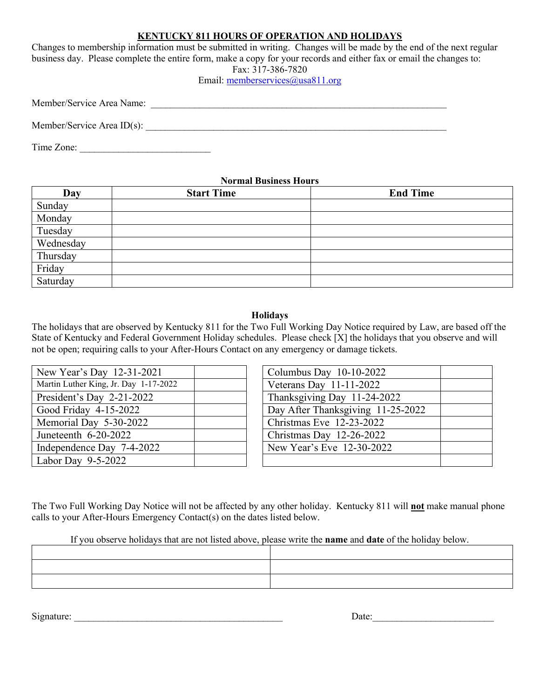# **KENTUCKY 811 HOURS OF OPERATION AND HOLIDAYS**

Changes to membership information must be submitted in writing. Changes will be made by the end of the next regular business day. Please complete the entire form, make a copy for your records and either fax or email the changes to: Fax: 317-386-7820

Email: memberservices@usa811.org

| Member/Service Area Name: |  |
|---------------------------|--|
|                           |  |

Member/Service Area ID(s): \_\_\_\_\_\_\_\_\_\_\_\_\_\_\_\_\_\_\_\_\_\_\_\_\_\_\_\_\_\_\_\_\_\_\_\_\_\_\_\_\_\_\_\_\_\_\_\_\_\_\_\_\_\_\_\_\_\_\_\_\_\_

Time Zone:

#### **Normal Business Hours**

| Day       | <b>Start Time</b> | <b>End Time</b> |
|-----------|-------------------|-----------------|
| Sunday    |                   |                 |
| Monday    |                   |                 |
| Tuesday   |                   |                 |
| Wednesday |                   |                 |
| Thursday  |                   |                 |
| Friday    |                   |                 |
| Saturday  |                   |                 |

#### **Holidays**

The holidays that are observed by Kentucky 811 for the Two Full Working Day Notice required by Law, are based off the State of Kentucky and Federal Government Holiday schedules. Please check [X] the holidays that you observe and will not be open; requiring calls to your After-Hours Contact on any emergency or damage tickets.

| New Year's Day 12-31-2021             | Columbus Day 10-10-2022           |
|---------------------------------------|-----------------------------------|
| Martin Luther King, Jr. Day 1-17-2022 | Veterans Day $11-11-2022$         |
| President's Day 2-21-2022             | Thanksgiving Day 11-24-2022       |
| Good Friday 4-15-2022                 | Day After Thanksgiving 11-25-2022 |
| Memorial Day 5-30-2022                | Christmas Eve 12-23-2022          |
| Juneteenth 6-20-2022                  | Christmas Day 12-26-2022          |
| Independence Day 7-4-2022             | New Year's Eve 12-30-2022         |
| Labor Day $9-5-2022$                  |                                   |

| Columbus Day 10-10-2022           |  |
|-----------------------------------|--|
| Veterans Day 11-11-2022           |  |
| Thanksgiving Day 11-24-2022       |  |
| Day After Thanksgiving 11-25-2022 |  |
| Christmas Eve 12-23-2022          |  |
| Christmas Day 12-26-2022          |  |
| New Year's Eve 12-30-2022         |  |
|                                   |  |

The Two Full Working Day Notice will not be affected by any other holiday. Kentucky 811 will **not** make manual phone calls to your After-Hours Emergency Contact(s) on the dates listed below.

If you observe holidays that are not listed above, please write the **name** and **date** of the holiday below.

Signature:  $\Box$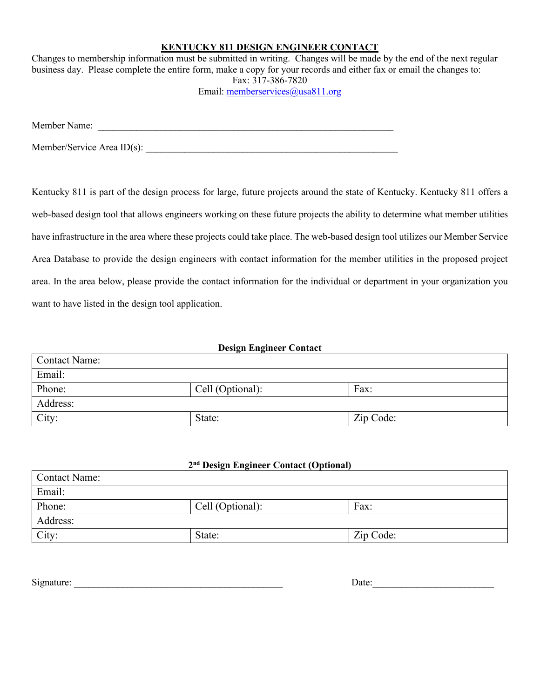## **KENTUCKY 811 DESIGN ENGINEER CONTACT**

Changes to membership information must be submitted in writing. Changes will be made by the end of the next regular business day. Please complete the entire form, make a copy for your records and either fax or email the changes to: Fax: 317-386-7820 Email: memberservices@usa811.org

Member Name:

Member/Service Area  $ID(s)$ :

Kentucky 811 is part of the design process for large, future projects around the state of Kentucky. Kentucky 811 offers a web-based design tool that allows engineers working on these future projects the ability to determine what member utilities have infrastructure in the area where these projects could take place. The web-based design tool utilizes our Member Service Area Database to provide the design engineers with contact information for the member utilities in the proposed project area. In the area below, please provide the contact information for the individual or department in your organization you want to have listed in the design tool application.

## **Design Engineer Contact**

| <b>Contact Name:</b> |                  |           |  |  |
|----------------------|------------------|-----------|--|--|
| Email:               |                  |           |  |  |
| Phone:               | Cell (Optional): | Fax:      |  |  |
| Address:             |                  |           |  |  |
| City:                | State:           | Zip Code: |  |  |

# **2nd Design Engineer Contact (Optional)**

| Contact Name: |                  |           |  |  |
|---------------|------------------|-----------|--|--|
| Email:        |                  |           |  |  |
| Phone:        | Cell (Optional): | Fax:      |  |  |
| Address:      |                  |           |  |  |
| City:         | State:           | Zip Code: |  |  |

 $\text{Date:}$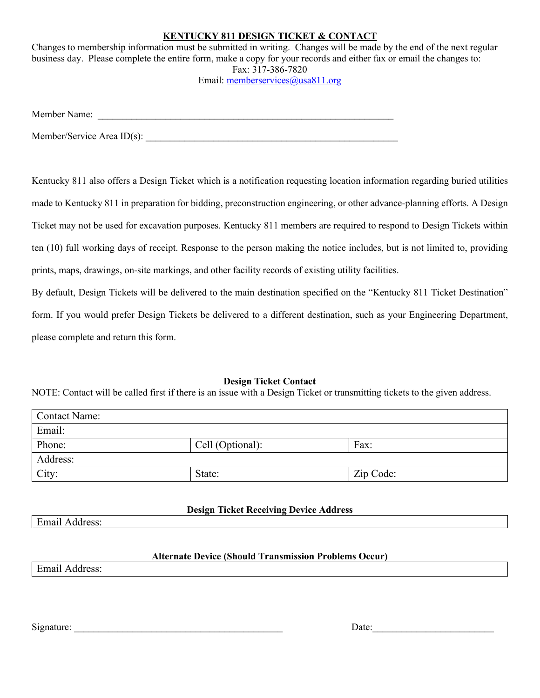# **KENTUCKY 811 DESIGN TICKET & CONTACT**

Changes to membership information must be submitted in writing. Changes will be made by the end of the next regular business day. Please complete the entire form, make a copy for your records and either fax or email the changes to: Fax: 317-386-7820 Email: memberservices@usa811.org

Member Name: \_\_\_\_\_\_\_\_\_\_\_\_\_\_\_\_\_\_\_\_\_\_\_\_\_\_\_\_\_\_\_\_\_\_\_\_\_\_\_\_\_\_\_\_\_\_\_\_\_\_\_\_\_\_\_\_\_\_\_\_\_

 $M$ ember/Service Area ID(s):

Kentucky 811 also offers a Design Ticket which is a notification requesting location information regarding buried utilities made to Kentucky 811 in preparation for bidding, preconstruction engineering, or other advance-planning efforts. A Design Ticket may not be used for excavation purposes. Kentucky 811 members are required to respond to Design Tickets within ten (10) full working days of receipt. Response to the person making the notice includes, but is not limited to, providing prints, maps, drawings, on-site markings, and other facility records of existing utility facilities.

By default, Design Tickets will be delivered to the main destination specified on the "Kentucky 811 Ticket Destination" form. If you would prefer Design Tickets be delivered to a different destination, such as your Engineering Department, please complete and return this form.

## **Design Ticket Contact**

NOTE: Contact will be called first if there is an issue with a Design Ticket or transmitting tickets to the given address.

| <b>Contact Name:</b> |                  |           |  |
|----------------------|------------------|-----------|--|
| Email:               |                  |           |  |
| Phone:               | Cell (Optional): | Fax:      |  |
| Address:             |                  |           |  |
| City:                | State:           | Zip Code: |  |

# **Design Ticket Receiving Device Address**

Email Address:

## **Alternate Device (Should Transmission Problems Occur)**

Email Address:

Signature:  $\Box$